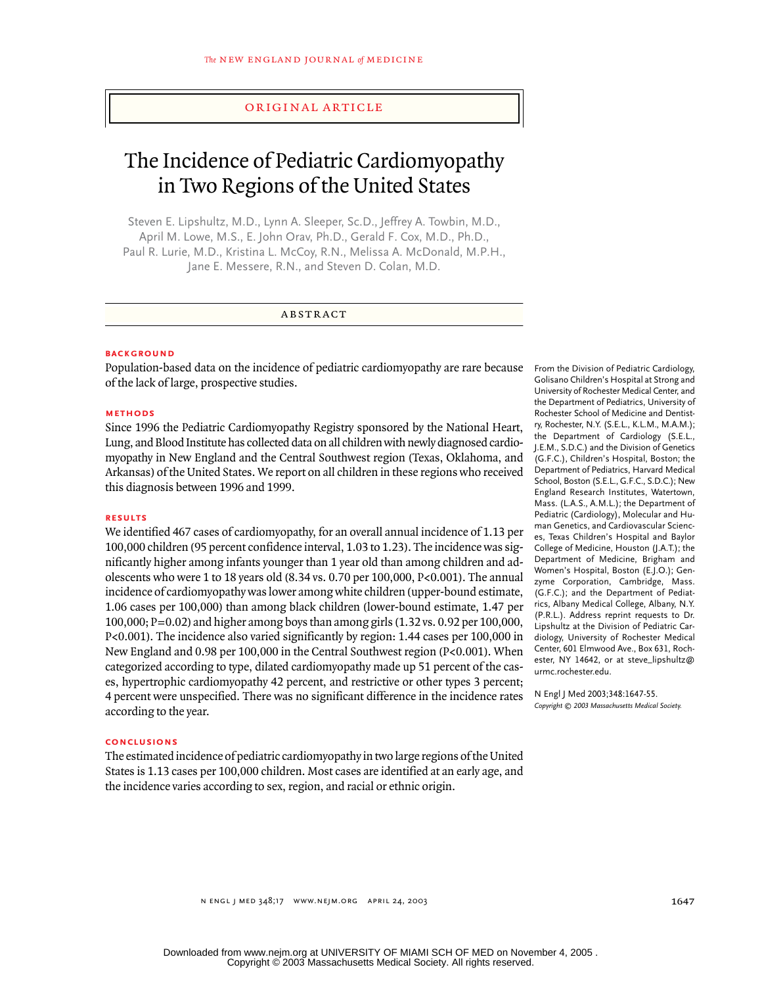## original article

# The Incidence of Pediatric Cardiomyopathy in Two Regions of the United States

Steven E. Lipshultz, M.D., Lynn A. Sleeper, Sc.D., Jeffrey A. Towbin, M.D., April M. Lowe, M.S., E. John Orav, Ph.D., Gerald F. Cox, M.D., Ph.D., Paul R. Lurie, M.D., Kristina L. McCoy, R.N., Melissa A. McDonald, M.P.H., Jane E. Messere, R.N., and Steven D. Colan, M.D.

## **ABSTRACT**

#### **BACKGROUND**

Population-based data on the incidence of pediatric cardiomyopathy are rare because of the lack of large, prospective studies.

#### **methods**

Since 1996 the Pediatric Cardiomyopathy Registry sponsored by the National Heart, Lung, and Blood Institute has collected data on all children with newly diagnosed cardiomyopathy in New England and the Central Southwest region (Texas, Oklahoma, and Arkansas) of the United States. We report on all children in these regions who received this diagnosis between 1996 and 1999.

#### **results**

We identified 467 cases of cardiomyopathy, for an overall annual incidence of 1.13 per 100,000 children (95 percent confidence interval, 1.03 to 1.23). The incidence was significantly higher among infants younger than 1 year old than among children and adolescents who were 1 to 18 years old (8.34 vs. 0.70 per 100,000, P<0.001). The annual incidence of cardiomyopathy was lower among white children (upper-bound estimate, 1.06 cases per 100,000) than among black children (lower-bound estimate, 1.47 per 100,000; P=0.02) and higher among boys than among girls (1.32 vs. 0.92 per 100,000, P<0.001). The incidence also varied significantly by region: 1.44 cases per 100,000 in New England and 0.98 per 100,000 in the Central Southwest region (P<0.001). When categorized according to type, dilated cardiomyopathy made up 51 percent of the cases, hypertrophic cardiomyopathy 42 percent, and restrictive or other types 3 percent; 4 percent were unspecified. There was no significant difference in the incidence rates according to the year.

From the Division of Pediatric Cardiology, Golisano Children's Hospital at Strong and University of Rochester Medical Center, and the Department of Pediatrics, University of Rochester School of Medicine and Dentistry, Rochester, N.Y. (S.E.L., K.L.M., M.A.M.); the Department of Cardiology (S.E.L., J.E.M., S.D.C.) and the Division of Genetics (G.F.C.), Children's Hospital, Boston; the Department of Pediatrics, Harvard Medical School, Boston (S.E.L., G.F.C., S.D.C.); New England Research Institutes, Watertown, Mass. (L.A.S., A.M.L.); the Department of Pediatric (Cardiology), Molecular and Human Genetics, and Cardiovascular Sciences, Texas Children's Hospital and Baylor College of Medicine, Houston (J.A.T.); the Department of Medicine, Brigham and Women's Hospital, Boston (E.J.O.); Genzyme Corporation, Cambridge, Mass. (G.F.C.); and the Department of Pediatrics, Albany Medical College, Albany, N.Y. (P.R.L.). Address reprint requests to Dr. Lipshultz at the Division of Pediatric Cardiology, University of Rochester Medical Center, 601 Elmwood Ave., Box 631, Rochester, NY 14642, or at steve\_lipshultz@ urmc.rochester.edu.

N Engl J Med 2003;348:1647-55. *Copyright © 2003 Massachusetts Medical Society.*

#### **conclusions**

The estimated incidence of pediatric cardiomyopathy in two large regions of the United States is 1.13 cases per 100,000 children. Most cases are identified at an early age, and the incidence varies according to sex, region, and racial or ethnic origin.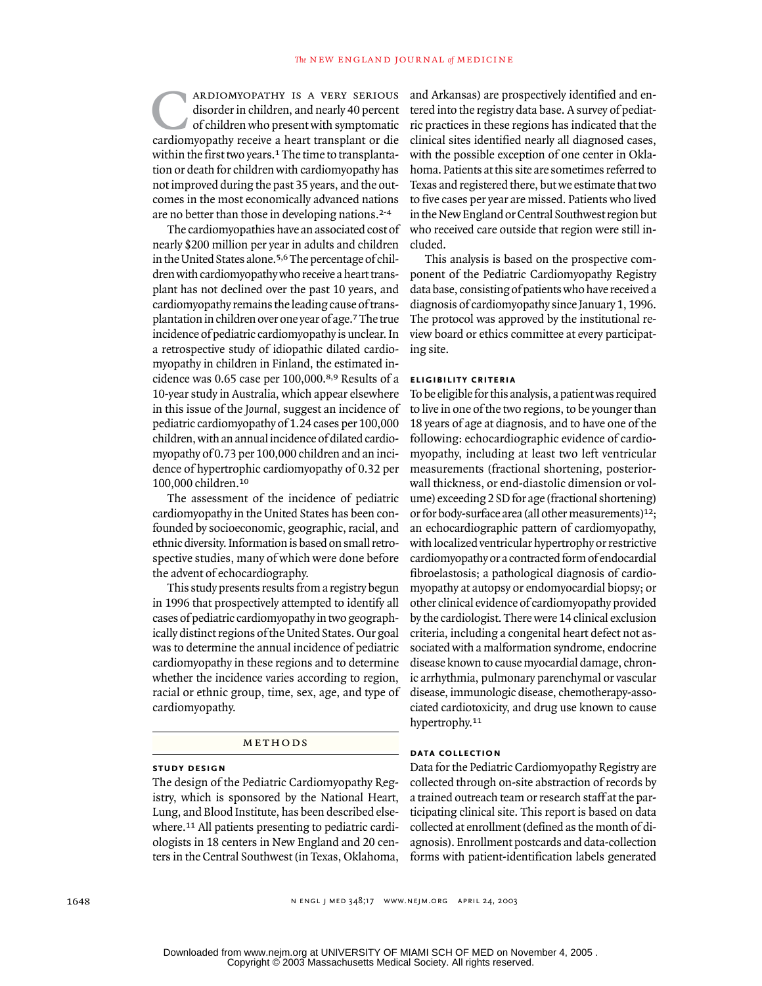ardiomyopathy is a very serious disorder in children, and nearly 40 percent of children who present with symptomatic cardiomyopathy receive a heart transplant or die within the first two years.<sup>1</sup> The time to transplantation or death for children with cardiomyopathy has not improved during the past 35 years, and the outcomes in the most economically advanced nations are no better than those in developing nations.2-4 c

The cardiomyopathies have an associated cost of nearly \$200 million per year in adults and children in the United States alone.5,6 The percentage of children with cardiomyopathy who receive a heart transplant has not declined over the past 10 years, and cardiomyopathy remains the leading cause of transplantation in children over one year of age.7 The true incidence of pediatric cardiomyopathy is unclear. In a retrospective study of idiopathic dilated cardiomyopathy in children in Finland, the estimated incidence was 0.65 case per 100,000.8,9 Results of a 10-year study in Australia, which appear elsewhere in this issue of the *Journal,* suggest an incidence of pediatric cardiomyopathy of 1.24 cases per 100,000 children, with an annual incidence of dilated cardiomyopathy of 0.73 per 100,000 children and an incidence of hypertrophic cardiomyopathy of 0.32 per 100,000 children.<sup>10</sup>

The assessment of the incidence of pediatric cardiomyopathy in the United States has been confounded by socioeconomic, geographic, racial, and ethnic diversity. Information is based on small retrospective studies, many of which were done before the advent of echocardiography.

This study presents results from a registry begun in 1996 that prospectively attempted to identify all cases of pediatric cardiomyopathy in two geographically distinct regions of the United States. Our goal was to determine the annual incidence of pediatric cardiomyopathy in these regions and to determine whether the incidence varies according to region, racial or ethnic group, time, sex, age, and type of cardiomyopathy.

**METHODS** 

## **study design**

The design of the Pediatric Cardiomyopathy Registry, which is sponsored by the National Heart, Lung, and Blood Institute, has been described elsewhere.11 All patients presenting to pediatric cardiologists in 18 centers in New England and 20 centers in the Central Southwest (in Texas, Oklahoma,

and Arkansas) are prospectively identified and entered into the registry data base. A survey of pediatric practices in these regions has indicated that the clinical sites identified nearly all diagnosed cases, with the possible exception of one center in Oklahoma. Patients at this site are sometimes referred to Texas and registered there, but we estimate that two to five cases per year are missed. Patients who lived in the New England or Central Southwest region but who received care outside that region were still included.

This analysis is based on the prospective component of the Pediatric Cardiomyopathy Registry data base, consisting of patients who have received a diagnosis of cardiomyopathy since January 1, 1996. The protocol was approved by the institutional review board or ethics committee at every participating site.

## **eligibility criteria**

To be eligible for this analysis, a patient was required to live in one of the two regions, to be younger than 18 years of age at diagnosis, and to have one of the following: echocardiographic evidence of cardiomyopathy, including at least two left ventricular measurements (fractional shortening, posteriorwall thickness, or end-diastolic dimension or volume) exceeding 2 SD for age (fractional shortening) or for body-surface area (all other measurements)12; an echocardiographic pattern of cardiomyopathy, with localized ventricular hypertrophy or restrictive cardiomyopathy or a contracted form of endocardial fibroelastosis; a pathological diagnosis of cardiomyopathy at autopsy or endomyocardial biopsy; or other clinical evidence of cardiomyopathy provided by the cardiologist. There were 14 clinical exclusion criteria, including a congenital heart defect not associated with a malformation syndrome, endocrine disease known to cause myocardial damage, chronic arrhythmia, pulmonary parenchymal or vascular disease, immunologic disease, chemotherapy-associated cardiotoxicity, and drug use known to cause hypertrophy.<sup>11</sup>

# **data collection**

Data for the Pediatric Cardiomyopathy Registry are collected through on-site abstraction of records by a trained outreach team or research staff at the participating clinical site. This report is based on data collected at enrollment (defined as the month of diagnosis). Enrollment postcards and data-collection forms with patient-identification labels generated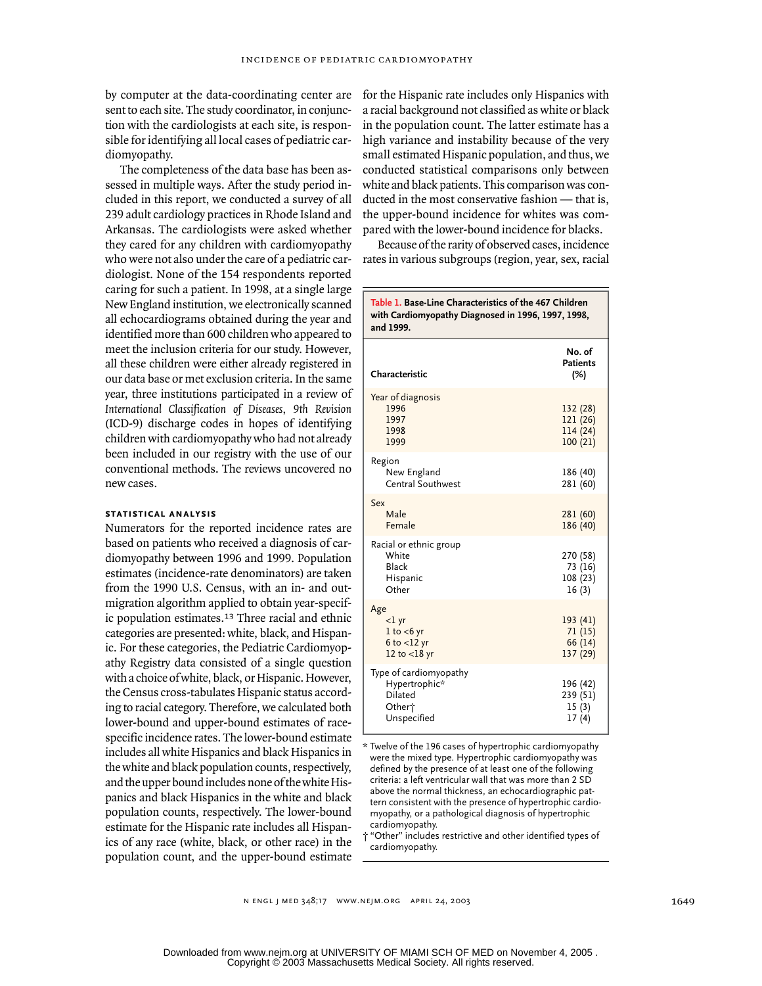by computer at the data-coordinating center are sent to each site. The study coordinator, in conjunction with the cardiologists at each site, is responsible for identifying all local cases of pediatric cardiomyopathy.

The completeness of the data base has been assessed in multiple ways. After the study period included in this report, we conducted a survey of all 239 adult cardiology practices in Rhode Island and Arkansas. The cardiologists were asked whether they cared for any children with cardiomyopathy who were not also under the care of a pediatric cardiologist. None of the 154 respondents reported caring for such a patient. In 1998, at a single large New England institution, we electronically scanned all echocardiograms obtained during the year and identified more than 600 children who appeared to meet the inclusion criteria for our study. However, all these children were either already registered in our data base or met exclusion criteria. In the same year, three institutions participated in a review of *International Classification of Diseases, 9th Revision* (ICD-9) discharge codes in hopes of identifying children with cardiomyopathy who had not already been included in our registry with the use of our conventional methods. The reviews uncovered no new cases.

## **statistical analysis**

Numerators for the reported incidence rates are based on patients who received a diagnosis of cardiomyopathy between 1996 and 1999. Population estimates (incidence-rate denominators) are taken from the 1990 U.S. Census, with an in- and outmigration algorithm applied to obtain year-specific population estimates.13 Three racial and ethnic categories are presented: white, black, and Hispanic. For these categories, the Pediatric Cardiomyopathy Registry data consisted of a single question with a choice of white, black, or Hispanic. However, the Census cross-tabulates Hispanic status according to racial category. Therefore, we calculated both lower-bound and upper-bound estimates of racespecific incidence rates. The lower-bound estimate includes all white Hispanics and black Hispanics in the white and black population counts, respectively, and the upper bound includes none of the white Hispanics and black Hispanics in the white and black population counts, respectively. The lower-bound estimate for the Hispanic rate includes all Hispanics of any race (white, black, or other race) in the population count, and the upper-bound estimate

for the Hispanic rate includes only Hispanics with a racial background not classified as white or black in the population count. The latter estimate has a high variance and instability because of the very small estimated Hispanic population, and thus, we conducted statistical comparisons only between white and black patients. This comparison was conducted in the most conservative fashion — that is, the upper-bound incidence for whites was compared with the lower-bound incidence for blacks.

Because of the rarity of observed cases, incidence rates in various subgroups (region, year, sex, racial

| Table 1. Base-Line Characteristics of the 467 Children<br>with Cardiomyopathy Diagnosed in 1996, 1997, 1998,<br>and 1999. |                                            |  |  |  |
|---------------------------------------------------------------------------------------------------------------------------|--------------------------------------------|--|--|--|
| Characteristic                                                                                                            | No. of<br><b>Patients</b><br>(%)           |  |  |  |
| Year of diagnosis<br>1996<br>1997<br>1998<br>1999                                                                         | 132 (28)<br>121 (26)<br>114(24)<br>100(21) |  |  |  |
| Region<br>New England<br>Central Southwest                                                                                | 186 (40)<br>281 (60)                       |  |  |  |
| Sex<br>Male<br>Female                                                                                                     | 281 (60)<br>186 (40)                       |  |  |  |
| Racial or ethnic group<br>White<br>Black<br>Hispanic<br>Other                                                             | 270 (58)<br>73 (16)<br>108 (23)<br>16(3)   |  |  |  |
| Age<br>$<$ l yr<br>$1$ to $<$ 6 yr<br>$6$ to $<$ 12 yr<br>12 to $<$ 18 yr                                                 | 193 (41)<br>71(15)<br>66(14)<br>137 (29)   |  |  |  |
| Type of cardiomyopathy<br>Hypertrophic*<br>Dilated<br>Other†<br>Unspecified                                               | 196 (42)<br>239 (51)<br>15(3)<br>17(4)     |  |  |  |

\* Twelve of the 196 cases of hypertrophic cardiomyopathy were the mixed type. Hypertrophic cardiomyopathy was defined by the presence of at least one of the following criteria: a left ventricular wall that was more than 2 SD above the normal thickness, an echocardiographic pattern consistent with the presence of hypertrophic cardiomyopathy, or a pathological diagnosis of hypertrophic cardiomyopathy.

† "Other" includes restrictive and other identified types of cardiomyopathy.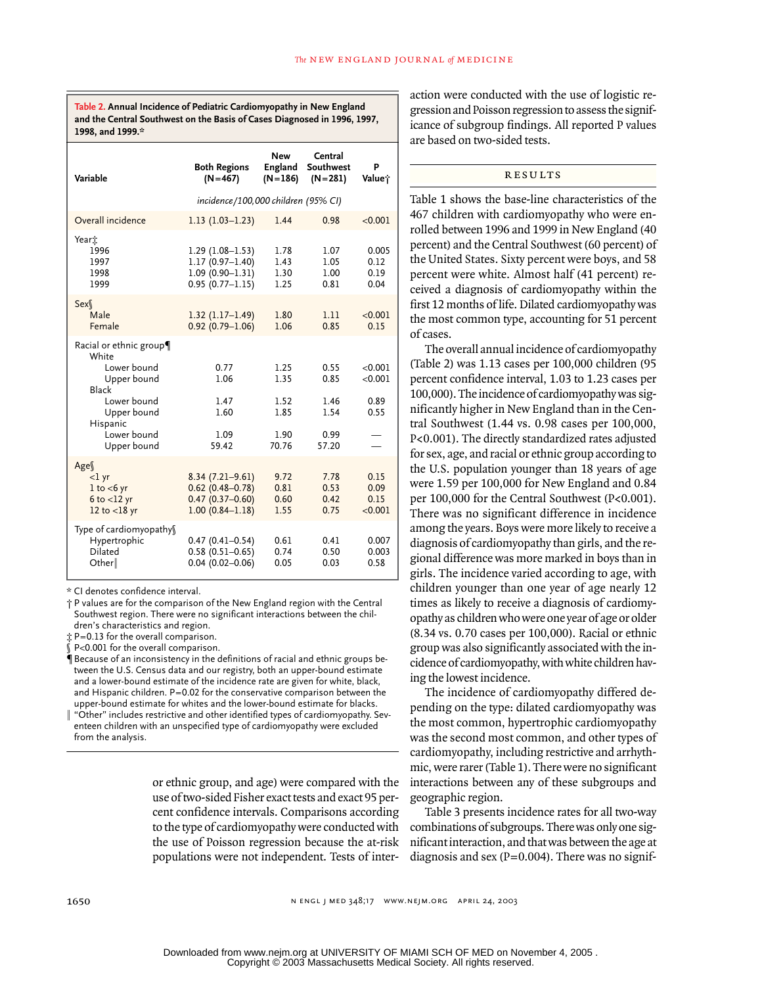| Variable                                                                                                                                        | <b>Both Regions</b><br>$(N = 467)$                                                      | <b>New</b><br><b>England</b><br>$(N=186)$     | Central<br>Southwest<br>$(N = 281)$           | P<br>Valuet                        |  |  |
|-------------------------------------------------------------------------------------------------------------------------------------------------|-----------------------------------------------------------------------------------------|-----------------------------------------------|-----------------------------------------------|------------------------------------|--|--|
|                                                                                                                                                 | incidence/100,000 children (95% CI)                                                     |                                               |                                               |                                    |  |  |
| Overall incidence                                                                                                                               | $1.13(1.03-1.23)$                                                                       | 1.44                                          | 0.98                                          | < 0.001                            |  |  |
| Yeart<br>1996<br>1997<br>1998<br>1999                                                                                                           | $1.29(1.08-1.53)$<br>$1.17(0.97 - 1.40)$<br>$1.09(0.90 - 1.31)$<br>$0.95(0.77 - 1.15)$  | 1.78<br>1.43<br>1.30<br>1.25                  | 1.07<br>1.05<br>1.00<br>0.81                  | 0.005<br>0.12<br>0.19<br>0.04      |  |  |
| Sex<br>Male<br>Female                                                                                                                           | $1.32(1.17-1.49)$<br>$0.92(0.79 - 1.06)$                                                | 1.80<br>1.06                                  | 1.11<br>0.85                                  | < 0.001<br>0.15                    |  |  |
| Racial or ethnic group¶<br>White<br>Lower bound<br>Upper bound<br>Black<br>Lower bound<br>Upper bound<br>Hispanic<br>Lower bound<br>Upper bound | 0.77<br>1.06<br>1.47<br>1.60<br>1.09<br>59.42                                           | 1.25<br>1.35<br>1.52<br>1.85<br>1.90<br>70.76 | 0.55<br>0.85<br>1.46<br>1.54<br>0.99<br>57.20 | < 0.001<br>< 0.001<br>0.89<br>0.55 |  |  |
| Age%<br>$<$ l yr<br>$1$ to $<$ 6 yr<br>$6$ to $<$ 12 yr<br>12 to $<$ 18 yr                                                                      | $8.34(7.21 - 9.61)$<br>$0.62$ (0.48-0.78)<br>$0.47(0.37 - 0.60)$<br>$1.00(0.84 - 1.18)$ | 9.72<br>0.81<br>0.60<br>1.55                  | 7.78<br>0.53<br>0.42<br>0.75                  | 0.15<br>0.09<br>0.15<br>< 0.001    |  |  |
| Type of cardiomyopathy<br>Hypertrophic<br>Dilated<br>Other                                                                                      | $0.47(0.41 - 0.54)$<br>$0.58(0.51 - 0.65)$<br>$0.04$ (0.02-0.06)                        | 0.61<br>0.74<br>0.05                          | 0.41<br>0.50<br>0.03                          | 0.007<br>0.003<br>0.58             |  |  |

**Table 2. Annual Incidence of Pediatric Cardiomyopathy in New England and the Central Southwest on the Basis of Cases Diagnosed in 1996, 1997, 1998, and 1999.\***

\* CI denotes confidence interval.

† P values are for the comparison of the New England region with the Central Southwest region. There were no significant interactions between the children's characteristics and region.

‡ P=0.13 for the overall comparison.

P<0.001 for the overall comparison.

¶Because of an inconsistency in the definitions of racial and ethnic groups between the U.S. Census data and our registry, both an upper-bound estimate and a lower-bound estimate of the incidence rate are given for white, black, and Hispanic children. P=0.02 for the conservative comparison between the upper-bound estimate for whites and the lower-bound estimate for blacks.

¿ "Other" includes restrictive and other identified types of cardiomyopathy. Seventeen children with an unspecified type of cardiomyopathy were excluded from the analysis.

> or ethnic group, and age) were compared with the use of two-sided Fisher exact tests and exact 95 percent confidence intervals. Comparisons according to the type of cardiomyopathy were conducted with the use of Poisson regression because the at-risk populations were not independent. Tests of inter

action were conducted with the use of logistic regression and Poisson regression to assess the significance of subgroup findings. All reported P values are based on two-sided tests.

#### results

Table 1 shows the base-line characteristics of the 467 children with cardiomyopathy who were enrolled between 1996 and 1999 in New England (40 percent) and the Central Southwest (60 percent) of the United States. Sixty percent were boys, and 58 percent were white. Almost half (41 percent) received a diagnosis of cardiomyopathy within the first 12 months of life. Dilated cardiomyopathy was the most common type, accounting for 51 percent of cases.

The overall annual incidence of cardiomyopathy (Table 2) was 1.13 cases per 100,000 children (95 percent confidence interval, 1.03 to 1.23 cases per 100,000). The incidence of cardiomyopathy was significantly higher in New England than in the Central Southwest (1.44 vs. 0.98 cases per 100,000, P<0.001). The directly standardized rates adjusted for sex, age, and racial or ethnic group according to the U.S. population younger than 18 years of age were 1.59 per 100,000 for New England and 0.84 per 100,000 for the Central Southwest (P<0.001). There was no significant difference in incidence among the years. Boys were more likely to receive a diagnosis of cardiomyopathy than girls, and the regional difference was more marked in boys than in girls. The incidence varied according to age, with children younger than one year of age nearly 12 times as likely to receive a diagnosis of cardiomyopathy as children who were one year of age or older (8.34 vs. 0.70 cases per 100,000). Racial or ethnic group was also significantly associated with the incidence of cardiomyopathy, with white children having the lowest incidence.

The incidence of cardiomyopathy differed depending on the type: dilated cardiomyopathy was the most common, hypertrophic cardiomyopathy was the second most common, and other types of cardiomyopathy, including restrictive and arrhythmic, were rarer (Table 1). There were no significant interactions between any of these subgroups and geographic region.

Table 3 presents incidence rates for all two-way combinations of subgroups. There was only one significant interaction, and that was between the age at diagnosis and sex  $(P=0.004)$ . There was no signif-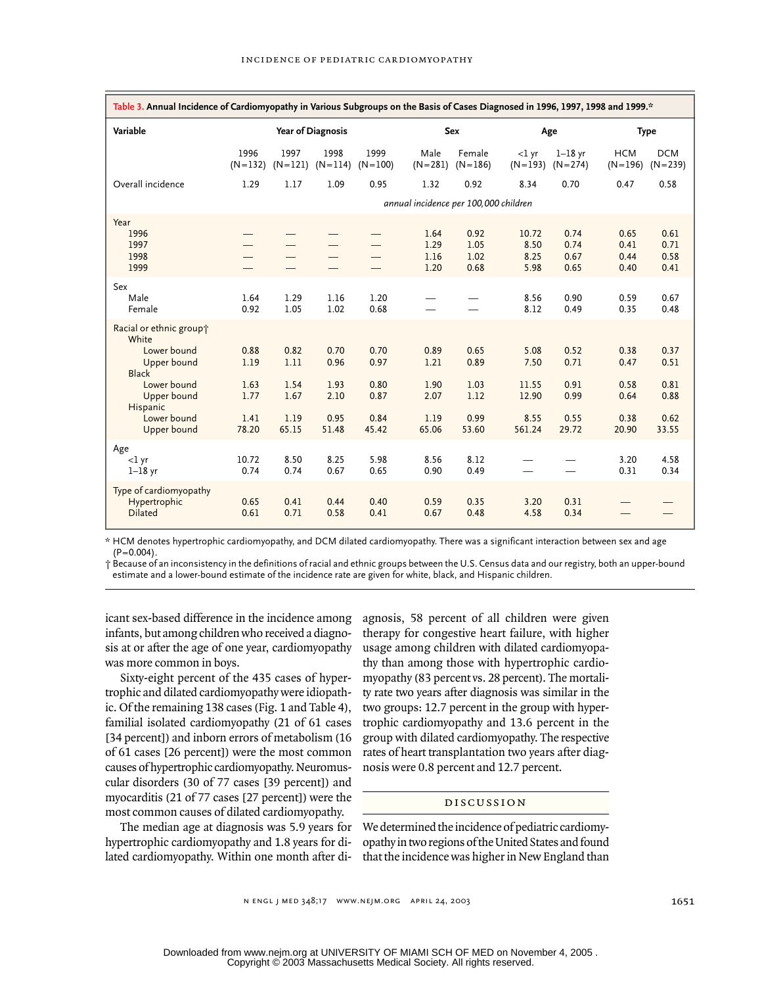| Table 3. Annual Incidence of Cardiomyopathy in Various Subgroups on the Basis of Cases Diagnosed in 1996, 1997, 1998 and 1999.* |                                       |                   |                   |                   |                              |                              |                               |                              |                              |                              |
|---------------------------------------------------------------------------------------------------------------------------------|---------------------------------------|-------------------|-------------------|-------------------|------------------------------|------------------------------|-------------------------------|------------------------------|------------------------------|------------------------------|
| Variable                                                                                                                        |                                       |                   | Year of Diagnosis |                   | Sex                          |                              | Age                           |                              | <b>Type</b>                  |                              |
|                                                                                                                                 | 1996<br>$(N=132)$                     | 1997<br>$(N=121)$ | 1998<br>$(N=114)$ | 1999<br>$(N=100)$ | Male<br>$(N=281)$            | Female<br>$(N=186)$          | $<$ l yr<br>$(N=193)$         | $1-18$ yr<br>$(N=274)$       | <b>HCM</b><br>$(N=196)$      | <b>DCM</b><br>$(N=239)$      |
| Overall incidence                                                                                                               | 1.29                                  | 1.17              | 1.09              | 0.95              | 1.32                         | 0.92                         | 8.34                          | 0.70                         | 0.47                         | 0.58                         |
|                                                                                                                                 | annual incidence per 100,000 children |                   |                   |                   |                              |                              |                               |                              |                              |                              |
| Year<br>1996<br>1997<br>1998<br>1999                                                                                            |                                       |                   |                   |                   | 1.64<br>1.29<br>1.16<br>1.20 | 0.92<br>1.05<br>1.02<br>0.68 | 10.72<br>8.50<br>8.25<br>5.98 | 0.74<br>0.74<br>0.67<br>0.65 | 0.65<br>0.41<br>0.44<br>0.40 | 0.61<br>0.71<br>0.58<br>0.41 |
| Sex<br>Male<br>Female                                                                                                           | 1.64<br>0.92                          | 1.29<br>1.05      | 1.16<br>1.02      | 1.20<br>0.68      |                              |                              | 8.56<br>8.12                  | 0.90<br>0.49                 | 0.59<br>0.35                 | 0.67<br>0.48                 |
| Racial or ethnic group;<br>White                                                                                                |                                       |                   |                   |                   |                              |                              |                               |                              |                              |                              |
| Lower bound<br>Upper bound<br><b>Black</b>                                                                                      | 0.88<br>1.19                          | 0.82<br>1.11      | 0.70<br>0.96      | 0.70<br>0.97      | 0.89<br>1.21                 | 0.65<br>0.89                 | 5.08<br>7.50                  | 0.52<br>0.71                 | 0.38<br>0.47                 | 0.37<br>0.51                 |
| Lower bound<br>Upper bound<br>Hispanic                                                                                          | 1.63<br>1.77                          | 1.54<br>1.67      | 1.93<br>2.10      | 0.80<br>0.87      | 1.90<br>2.07                 | 1.03<br>1.12                 | 11.55<br>12.90                | 0.91<br>0.99                 | 0.58<br>0.64                 | 0.81<br>0.88                 |
| Lower bound<br>Upper bound                                                                                                      | 1.41<br>78.20                         | 1.19<br>65.15     | 0.95<br>51.48     | 0.84<br>45.42     | 1.19<br>65.06                | 0.99<br>53.60                | 8.55<br>561.24                | 0.55<br>29.72                | 0.38<br>20.90                | 0.62<br>33.55                |
| Age<br>$<$ l yr<br>$1 - 18$ yr                                                                                                  | 10.72<br>0.74                         | 8.50<br>0.74      | 8.25<br>0.67      | 5.98<br>0.65      | 8.56<br>0.90                 | 8.12<br>0.49                 |                               |                              | 3.20<br>0.31                 | 4.58<br>0.34                 |
| Type of cardiomyopathy<br>Hypertrophic<br><b>Dilated</b>                                                                        | 0.65<br>0.61                          | 0.41<br>0.71      | 0.44<br>0.58      | 0.40<br>0.41      | 0.59<br>0.67                 | 0.35<br>0.48                 | 3.20<br>4.58                  | 0.31<br>0.34                 |                              |                              |

\* HCM denotes hypertrophic cardiomyopathy, and DCM dilated cardiomyopathy. There was a significant interaction between sex and age  $(P=0.004)$ .

† Because of an inconsistency in the definitions of racial and ethnic groups between the U.S. Census data and our registry, both an upper-bound estimate and a lower-bound estimate of the incidence rate are given for white, black, and Hispanic children.

icant sex-based difference in the incidence among infants, but among children who received a diagnosis at or after the age of one year, cardiomyopathy was more common in boys.

Sixty-eight percent of the 435 cases of hypertrophic and dilated cardiomyopathy were idiopathic. Of the remaining 138 cases (Fig. 1 and Table 4), familial isolated cardiomyopathy (21 of 61 cases [34 percent]) and inborn errors of metabolism (16 of 61 cases [26 percent]) were the most common causes of hypertrophic cardiomyopathy. Neuromuscular disorders (30 of 77 cases [39 percent]) and myocarditis (21 of 77 cases [27 percent]) were the most common causes of dilated cardiomyopathy.

The median age at diagnosis was 5.9 years for hypertrophic cardiomyopathy and 1.8 years for dilated cardiomyopathy. Within one month after diagnosis, 58 percent of all children were given therapy for congestive heart failure, with higher usage among children with dilated cardiomyopathy than among those with hypertrophic cardiomyopathy (83 percent vs. 28 percent). The mortality rate two years after diagnosis was similar in the two groups: 12.7 percent in the group with hypertrophic cardiomyopathy and 13.6 percent in the group with dilated cardiomyopathy. The respective rates of heart transplantation two years after diagnosis were 0.8 percent and 12.7 percent.

# discussion

We determined the incidence of pediatric cardiomyopathy in two regions of the United States and found that the incidence was higher in New England than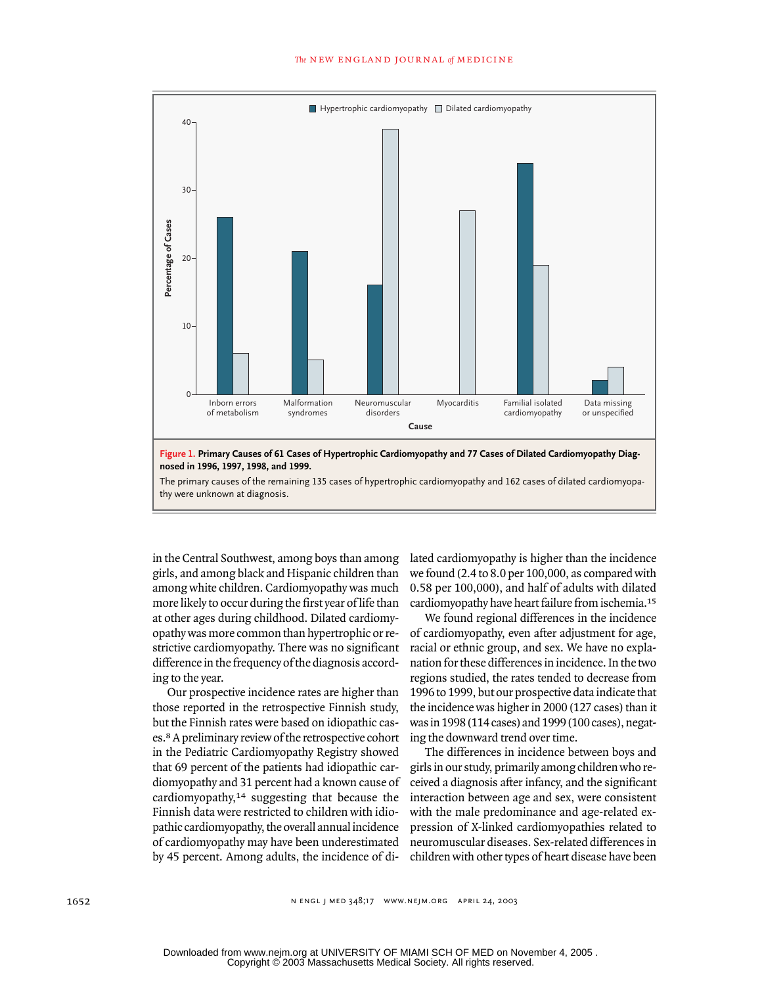

in the Central Southwest, among boys than among girls, and among black and Hispanic children than among white children. Cardiomyopathy was much more likely to occur during the first year of life than at other ages during childhood. Dilated cardiomyopathy was more common than hypertrophic or restrictive cardiomyopathy. There was no significant difference in the frequency of the diagnosis according to the year.

Our prospective incidence rates are higher than those reported in the retrospective Finnish study, but the Finnish rates were based on idiopathic cases.8 A preliminary review of the retrospective cohort in the Pediatric Cardiomyopathy Registry showed that 69 percent of the patients had idiopathic cardiomyopathy and 31 percent had a known cause of cardiomyopathy,14 suggesting that because the Finnish data were restricted to children with idiopathic cardiomyopathy, the overall annual incidence of cardiomyopathy may have been underestimated by 45 percent. Among adults, the incidence of di-

lated cardiomyopathy is higher than the incidence we found (2.4 to 8.0 per 100,000, as compared with 0.58 per 100,000), and half of adults with dilated cardiomyopathy have heart failure from ischemia.<sup>15</sup>

We found regional differences in the incidence of cardiomyopathy, even after adjustment for age, racial or ethnic group, and sex. We have no explanation for these differences in incidence. In the two regions studied, the rates tended to decrease from 1996 to 1999, but our prospective data indicate that the incidence was higher in 2000 (127 cases) than it was in 1998 (114 cases) and 1999 (100 cases), negating the downward trend over time.

The differences in incidence between boys and girls in our study, primarily among children who received a diagnosis after infancy, and the significant interaction between age and sex, were consistent with the male predominance and age-related expression of X-linked cardiomyopathies related to neuromuscular diseases. Sex-related differences in children with other types of heart disease have been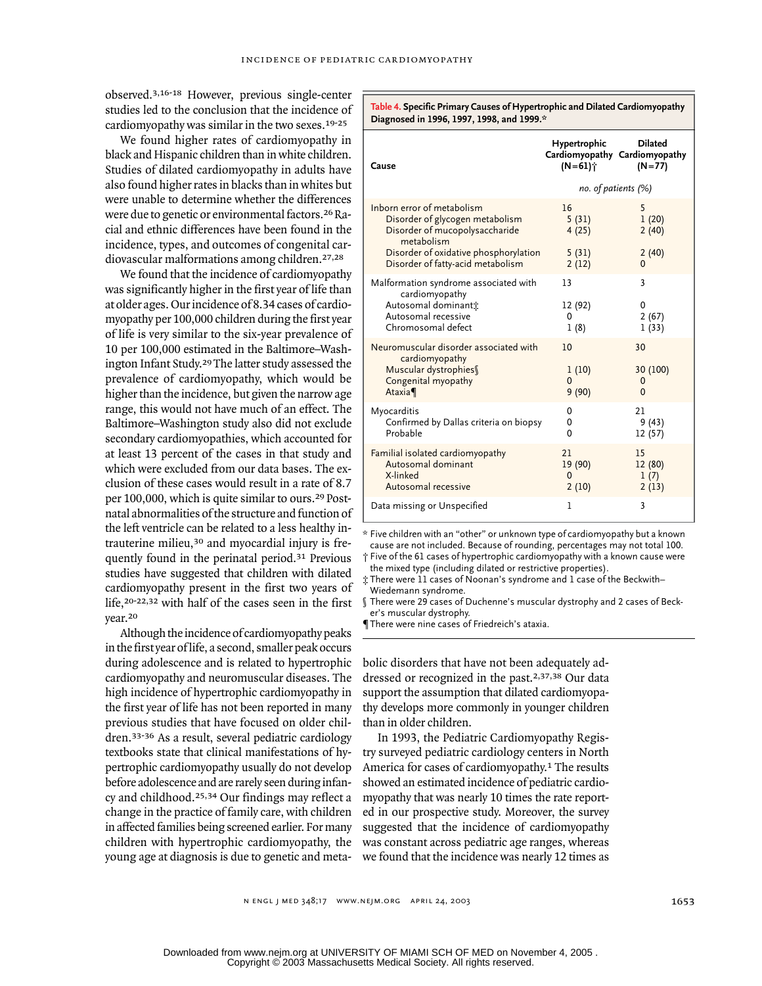observed.3,16-18 However, previous single-center studies led to the conclusion that the incidence of cardiomyopathy was similar in the two sexes.19-25

We found higher rates of cardiomyopathy in black and Hispanic children than in white children. Studies of dilated cardiomyopathy in adults have also found higher rates in blacks than in whites but were unable to determine whether the differences were due to genetic or environmental factors.26 Racial and ethnic differences have been found in the incidence, types, and outcomes of congenital cardiovascular malformations among children.27,28

We found that the incidence of cardiomyopathy was significantly higher in the first year of life than at older ages. Our incidence of 8.34 cases of cardiomyopathy per 100,000 children during the first year of life is very similar to the six-year prevalence of 10 per 100,000 estimated in the Baltimore–Washington Infant Study.29 The latter study assessed the prevalence of cardiomyopathy, which would be higher than the incidence, but given the narrow age range, this would not have much of an effect. The Baltimore–Washington study also did not exclude secondary cardiomyopathies, which accounted for at least 13 percent of the cases in that study and which were excluded from our data bases. The exclusion of these cases would result in a rate of 8.7 per 100,000, which is quite similar to ours.29 Postnatal abnormalities of the structure and function of the left ventricle can be related to a less healthy intrauterine milieu,30 and myocardial injury is frequently found in the perinatal period.31 Previous studies have suggested that children with dilated cardiomyopathy present in the first two years of life,20-22,32 with half of the cases seen in the first year.<sup>20</sup>

Although the incidence of cardiomyopathy peaks in the first year of life, a second, smaller peak occurs during adolescence and is related to hypertrophic cardiomyopathy and neuromuscular diseases. The high incidence of hypertrophic cardiomyopathy in the first year of life has not been reported in many previous studies that have focused on older children.33-36 As a result, several pediatric cardiology textbooks state that clinical manifestations of hypertrophic cardiomyopathy usually do not develop before adolescence and are rarely seen during infancy and childhood.25,34 Our findings may reflect a change in the practice of family care, with children in affected families being screened earlier. For many children with hypertrophic cardiomyopathy, the young age at diagnosis is due to genetic and meta-

| Cause                                                                                                         | Hypertrophic<br>$(N=61)$ <sup>*</sup> | <b>Dilated</b><br>Cardiomyopathy Cardiomyopathy<br>$(N = 77)$ |  |
|---------------------------------------------------------------------------------------------------------------|---------------------------------------|---------------------------------------------------------------|--|
|                                                                                                               | no. of patients (%)                   |                                                               |  |
| Inborn error of metabolism<br>Disorder of glycogen metabolism<br>Disorder of mucopolysaccharide<br>metabolism | 16<br>5(31)<br>4(25)                  | 5<br>1(20)<br>2(40)                                           |  |
| Disorder of oxidative phosphorylation<br>Disorder of fatty-acid metabolism                                    | 5(31)<br>2(12)                        | 2(40)<br>0                                                    |  |
| Malformation syndrome associated with<br>cardiomyopathy                                                       | 13                                    | 3                                                             |  |
| Autosomal dominanti:<br>Autosomal recessive<br>Chromosomal defect                                             | 12 (92)<br>0<br>1(8)                  | $\Omega$<br>2(67)<br>1(33)                                    |  |
| Neuromuscular disorder associated with<br>cardiomyopathy                                                      | 10                                    | 30                                                            |  |
| Muscular dystrophies<br>Congenital myopathy<br>Ataxia                                                         | 1(10)<br>0<br>9(90)                   | 30 (100)<br>0<br>$\Omega$                                     |  |
| Myocarditis<br>Confirmed by Dallas criteria on biopsy<br>Probable                                             | 0<br>0<br>$\Omega$                    | 21<br>9(43)<br>12 (57)                                        |  |
| Familial isolated cardiomyopathy<br>Autosomal dominant<br>X-linked<br>Autosomal recessive                     | 21<br>19 (90)<br>$\Omega$<br>2(10)    | 15<br>12 (80)<br>1(7)<br>2(13)                                |  |
| Data missing or Unspecified                                                                                   | 1                                     | 3                                                             |  |

**Table 4. Specific Primary Causes of Hypertrophic and Dilated Cardiomyopathy Diagnosed in 1996, 1997, 1998, and 1999.\***

\* Five children with an "other" or unknown type of cardiomyopathy but a known cause are not included. Because of rounding, percentages may not total 100.

† Five of the 61 cases of hypertrophic cardiomyopathy with a known cause were the mixed type (including dilated or restrictive properties).

‡ There were 11 cases of Noonan's syndrome and 1 case of the Beckwith– Wiedemann syndrome.

§ There were 29 cases of Duchenne's muscular dystrophy and 2 cases of Becker's muscular dystrophy.

¶There were nine cases of Friedreich's ataxia.

bolic disorders that have not been adequately addressed or recognized in the past.<sup>2,37,38</sup> Our data support the assumption that dilated cardiomyopathy develops more commonly in younger children than in older children.

In 1993, the Pediatric Cardiomyopathy Registry surveyed pediatric cardiology centers in North America for cases of cardiomyopathy.<sup>1</sup> The results showed an estimated incidence of pediatric cardiomyopathy that was nearly 10 times the rate reported in our prospective study. Moreover, the survey suggested that the incidence of cardiomyopathy was constant across pediatric age ranges, whereas we found that the incidence was nearly 12 times as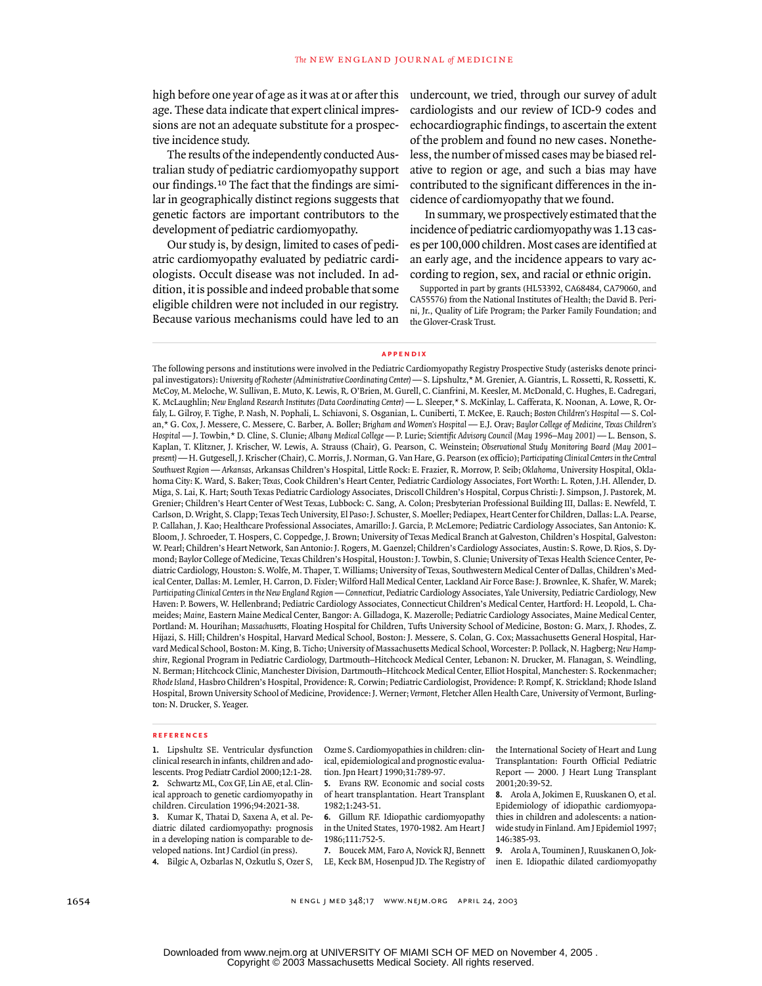high before one year of age as it was at or after this age. These data indicate that expert clinical impressions are not an adequate substitute for a prospective incidence study.

The results of the independently conducted Australian study of pediatric cardiomyopathy support our findings.10 The fact that the findings are similar in geographically distinct regions suggests that genetic factors are important contributors to the development of pediatric cardiomyopathy.

Our study is, by design, limited to cases of pediatric cardiomyopathy evaluated by pediatric cardiologists. Occult disease was not included. In addition, it is possible and indeed probable that some eligible children were not included in our registry. Because various mechanisms could have led to an undercount, we tried, through our survey of adult cardiologists and our review of ICD-9 codes and echocardiographic findings, to ascertain the extent of the problem and found no new cases. Nonetheless, the number of missed cases may be biased relative to region or age, and such a bias may have contributed to the significant differences in the incidence of cardiomyopathy that we found.

In summary, we prospectively estimated that the incidence of pediatric cardiomyopathy was 1.13 cases per 100,000 children. Most cases are identified at an early age, and the incidence appears to vary according to region, sex, and racial or ethnic origin.

Supported in part by grants (HL53392, CA68484, CA79060, and CA55576) from the National Institutes of Health; the David B. Perini, Jr., Quality of Life Program; the Parker Family Foundation; and the Glover-Crask Trust.

#### **appendix**

The following persons and institutions were involved in the Pediatric Cardiomyopathy Registry Prospective Study (asterisks denote principal investigators): *University of Rochester (Administrative Coordinating Center)* — S. Lipshultz,\* M. Grenier, A. Giantris, L. Rossetti, R. Rossetti, K. McCoy, M. Meloche, W. Sullivan, E. Muto, K. Lewis, R. O'Brien, M. Gurell, C. Cianfrini, M. Keesler, M. McDonald, C. Hughes, E. Cadregari, K. McLaughlin; *New England Research Institutes (Data Coordinating Center)* — L. Sleeper,\* S. McKinlay, L. Cafferata, K. Noonan, A. Lowe, R. Orfaly, L. Gilroy, F. Tighe, P. Nash, N. Pophali, L. Schiavoni, S. Osganian, L. Cuniberti, T. McKee, E. Rauch; *Boston Children's Hospital* — S. Colan,\* G. Cox, J. Messere, C. Messere, C. Barber, A. Boller; *Brigham and Women's Hospital* — E.J. Orav; *Baylor College of Medicine, Texas Children's Hospital* — J. Towbin,\* D. Cline, S. Clunie; *Albany Medical College* — P. Lurie; *Scientific Advisory Council (May 1996–May 2001)* — L. Benson, S. Kaplan, T. Klitzner, J. Krischer, W. Lewis, A. Strauss (Chair), G. Pearson, C. Weinstein; *Observational Study Monitoring Board (May 2001– present)* — H. Gutgesell, J. Krischer (Chair), C. Morris, J. Norman, G. Van Hare, G. Pearson (ex officio); *Participating Clinical Centers in the Central Southwest Region — Arkansas,* Arkansas Children's Hospital, Little Rock: E. Frazier, R. Morrow, P. Seib; *Oklahoma,* University Hospital, Oklahoma City: K. Ward, S. Baker; *Texas,* Cook Children's Heart Center, Pediatric Cardiology Associates, Fort Worth: L. Roten, J.H. Allender, D. Miga, S. Lai, K. Hart; South Texas Pediatric Cardiology Associates, Driscoll Children's Hospital, Corpus Christi: J. Simpson, J. Pastorek, M. Grenier; Children's Heart Center of West Texas, Lubbock: C. Sang, A. Colon; Presbyterian Professional Building III, Dallas: E. Newfeld, T. Carlson, D. Wright, S. Clapp; Texas Tech University, El Paso: J. Schuster, S. Moeller; Pediapex, Heart Center for Children, Dallas: L.A. Pearse, P. Callahan, J. Kao; Healthcare Professional Associates, Amarillo: J. Garcia, P. McLemore; Pediatric Cardiology Associates, San Antonio: K. Bloom, J. Schroeder, T. Hospers, C. Coppedge, J. Brown; University of Texas Medical Branch at Galveston, Children's Hospital, Galveston: W. Pearl; Children's Heart Network, San Antonio: J. Rogers, M. Gaenzel; Children's Cardiology Associates, Austin: S. Rowe, D. Rios, S. Dymond; Baylor College of Medicine, Texas Children's Hospital, Houston: J. Towbin, S. Clunie; University of Texas Health Science Center, Pediatric Cardiology, Houston: S. Wolfe, M. Thaper, T. Williams; University of Texas, Southwestern Medical Center of Dallas, Children's Medical Center, Dallas: M. Lemler, H. Carron, D. Fixler; Wilford Hall Medical Center, Lackland Air Force Base: J. Brownlee, K. Shafer, W. Marek; *Participating Clinical Centers in the New England Region — Connecticut,* Pediatric Cardiology Associates, Yale University, Pediatric Cardiology, New Haven: P. Bowers, W. Hellenbrand; Pediatric Cardiology Associates, Connecticut Children's Medical Center, Hartford: H. Leopold, L. Chameides; *Maine,* Eastern Maine Medical Center, Bangor: A. Gilladoga, K. Mazerolle; Pediatric Cardiology Associates, Maine Medical Center, Portland: M. Hourihan; *Massachusetts,* Floating Hospital for Children, Tufts University School of Medicine, Boston: G. Marx, J. Rhodes, Z. Hijazi, S. Hill; Children's Hospital, Harvard Medical School, Boston: J. Messere, S. Colan, G. Cox; Massachusetts General Hospital, Harvard Medical School, Boston: M. King, B. Ticho; University of Massachusetts Medical School, Worcester: P. Pollack, N. Hagberg; *New Hampshire,* Regional Program in Pediatric Cardiology, Dartmouth–Hitchcock Medical Center, Lebanon: N. Drucker, M. Flanagan, S. Weindling, N. Berman; Hitchcock Clinic, Manchester Division, Dartmouth–Hitchcock Medical Center, Elliot Hospital, Manchester: S. Rockenmacher; *Rhode Island,* Hasbro Children's Hospital, Providence: R. Corwin; Pediatric Cardiologist, Providence: P. Rompf, K. Strickland; Rhode Island Hospital, Brown University School of Medicine, Providence: J. Werner; *Vermont,* Fletcher Allen Health Care, University of Vermont, Burlington: N. Drucker, S. Yeager.

#### **references**

**1.** Lipshultz SE. Ventricular dysfunction clinical research in infants, children and adolescents. Prog Pediatr Cardiol 2000;12:1-28. **2.** Schwartz ML, Cox GF, Lin AE, et al. Clinical approach to genetic cardiomyopathy in children. Circulation 1996;94:2021-38.

**3.** Kumar K, Thatai D, Saxena A, et al. Pediatric dilated cardiomyopathy: prognosis in a developing nation is comparable to developed nations. Int J Cardiol (in press).

**4.** Bilgic A, Ozbarlas N, Ozkutlu S, Ozer S,

Ozme S. Cardiomyopathies in children: clinical, epidemiological and prognostic evaluation. Jpn Heart J 1990;31:789-97.

**5.** Evans RW. Economic and social costs of heart transplantation. Heart Transplant 1982;1:243-51.

**6.** Gillum RF. Idiopathic cardiomyopathy in the United States, 1970-1982. Am Heart J 1986;111:752-5.

**7.** Boucek MM, Faro A, Novick RJ, Bennett LE, Keck BM, Hosenpud JD. The Registry of the International Society of Heart and Lung Transplantation: Fourth Official Pediatric Report — 2000. J Heart Lung Transplant 2001;20:39-52.

**8.** Arola A, Jokimen E, Ruuskanen O, et al. Epidemiology of idiopathic cardiomyopathies in children and adolescents: a nationwide study in Finland. Am J Epidemiol 1997; 146:385-93.

**9.** Arola A, Touminen J, Ruuskanen O, Jokinen E. Idiopathic dilated cardiomyopathy